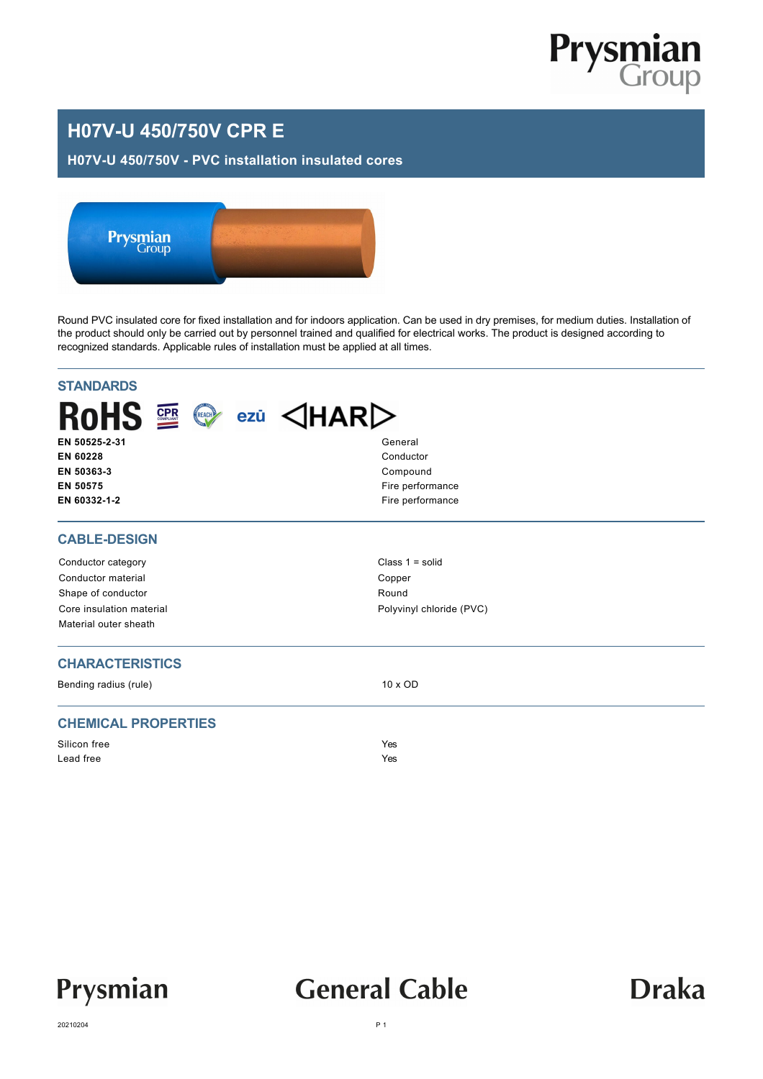

### **H07V-U 450/750V CPR E**

#### **H07V-U 450/750V - PVC installation insulated cores**



Round PVC insulated core for fixed installation and for indoors application. Can be used in dry premises, for medium duties. Installation of the product should only be carried out by personnel trained and qualified for electrical works. The product is designed according to recognized standards. Applicable rules of installation must be applied at all times.

| $ROHS \cong \textcircled{e}$ ezü $\triangleleft HAR$<br>EN 50525-2-31<br>General<br>EN 60228<br>Conductor<br>EN 50363-3<br>Compound<br>EN 50575<br>Fire performance<br>Fire performance<br>EN 60332-1-2<br><b>CABLE-DESIGN</b><br>Class $1 = solid$<br>Conductor category<br>Conductor material<br>Copper<br>Round<br>Shape of conductor<br>Core insulation material<br>Polyvinyl chloride (PVC)<br>Material outer sheath<br><b>CHARACTERISTICS</b><br>Bending radius (rule)<br>10 x OD<br><b>CHEMICAL PROPERTIES</b><br>Silicon free<br>Yes<br>Lead free<br>Yes | <b>STANDARDS</b> |  |
|------------------------------------------------------------------------------------------------------------------------------------------------------------------------------------------------------------------------------------------------------------------------------------------------------------------------------------------------------------------------------------------------------------------------------------------------------------------------------------------------------------------------------------------------------------------|------------------|--|
|                                                                                                                                                                                                                                                                                                                                                                                                                                                                                                                                                                  |                  |  |
|                                                                                                                                                                                                                                                                                                                                                                                                                                                                                                                                                                  |                  |  |
|                                                                                                                                                                                                                                                                                                                                                                                                                                                                                                                                                                  |                  |  |
|                                                                                                                                                                                                                                                                                                                                                                                                                                                                                                                                                                  |                  |  |
|                                                                                                                                                                                                                                                                                                                                                                                                                                                                                                                                                                  |                  |  |
|                                                                                                                                                                                                                                                                                                                                                                                                                                                                                                                                                                  |                  |  |
|                                                                                                                                                                                                                                                                                                                                                                                                                                                                                                                                                                  |                  |  |
|                                                                                                                                                                                                                                                                                                                                                                                                                                                                                                                                                                  |                  |  |
|                                                                                                                                                                                                                                                                                                                                                                                                                                                                                                                                                                  |                  |  |
|                                                                                                                                                                                                                                                                                                                                                                                                                                                                                                                                                                  |                  |  |
|                                                                                                                                                                                                                                                                                                                                                                                                                                                                                                                                                                  |                  |  |
|                                                                                                                                                                                                                                                                                                                                                                                                                                                                                                                                                                  |                  |  |



## **General Cable**